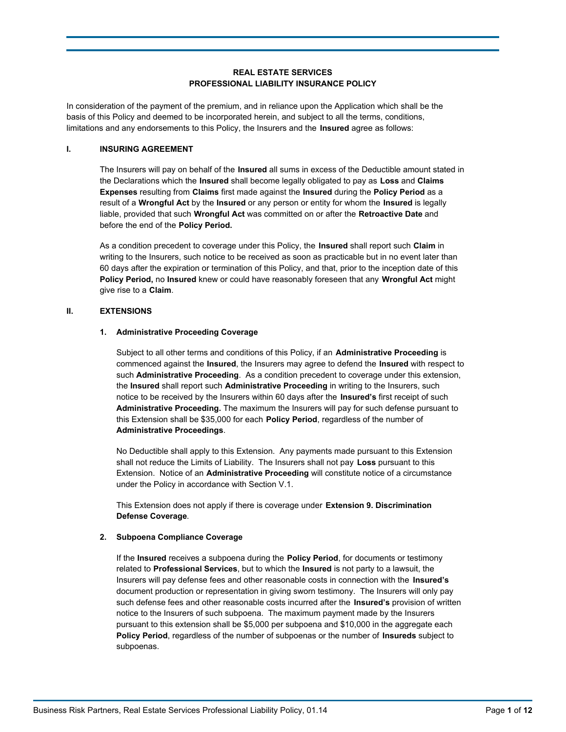# **REAL ESTATE SERVICES PROFESSIONAL LIABILITY INSURANCE POLICY**

In consideration of the payment of the premium, and in reliance upon the Application which shall be the basis of this Policy and deemed to be incorporated herein, and subject to all the terms, conditions, limitations and any endorsements to this Policy, the Insurers and the **Insured** agree as follows:

### **I. INSURING AGREEMENT**

The Insurers will pay on behalf of the **Insured** all sums in excess of the Deductible amount stated in the Declarations which the **Insured** shall become legally obligated to pay as **Loss** and **Claims Expenses** resulting from **Claims** first made against the **Insured** during the **Policy Period** as a result of a **Wrongful Act** by the **Insured** or any person or entity for whom the **Insured** is legally liable, provided that such **Wrongful Act** was committed on or after the **Retroactive Date** and before the end of the **Policy Period.**

As a condition precedent to coverage under this Policy, the **Insured** shall report such **Claim** in writing to the Insurers, such notice to be received as soon as practicable but in no event later than 60 days after the expiration or termination of this Policy, and that, prior to the inception date of this **Policy Period,** no **Insured** knew or could have reasonably foreseen that any **Wrongful Act** might give rise to a **Claim**.

# **II. EXTENSIONS**

### **1. Administrative Proceeding Coverage**

Subject to all other terms and conditions of this Policy, if an **Administrative Proceeding** is commenced against the **Insured**, the Insurers may agree to defend the **Insured** with respect to such **Administrative Proceeding**. As a condition precedent to coverage under this extension, the **Insured** shall report such **Administrative Proceeding** in writing to the Insurers, such notice to be received by the Insurers within 60 days after the **Insured's** first receipt of such **Administrative Proceeding.** The maximum the Insurers will pay for such defense pursuant to this Extension shall be \$35,000 for each **Policy Period**, regardless of the number of **Administrative Proceedings**.

No Deductible shall apply to this Extension. Any payments made pursuant to this Extension shall not reduce the Limits of Liability. The Insurers shall not pay **Loss** pursuant to this Extension. Notice of an **Administrative Proceeding** will constitute notice of a circumstance under the Policy in accordance with Section V.1.

This Extension does not apply if there is coverage under **Extension 9. Discrimination Defense Coverage**.

### **2. Subpoena Compliance Coverage**

If the **Insured** receives a subpoena during the **Policy Period**, for documents or testimony related to **Professional Services**, but to which the **Insured** is not party to a lawsuit, the Insurers will pay defense fees and other reasonable costs in connection with the **Insured's** document production or representation in giving sworn testimony. The Insurers will only pay such defense fees and other reasonable costs incurred after the **Insured's** provision of written notice to the Insurers of such subpoena. The maximum payment made by the Insurers pursuant to this extension shall be \$5,000 per subpoena and \$10,000 in the aggregate each **Policy Period**, regardless of the number of subpoenas or the number of **Insureds** subject to subpoenas.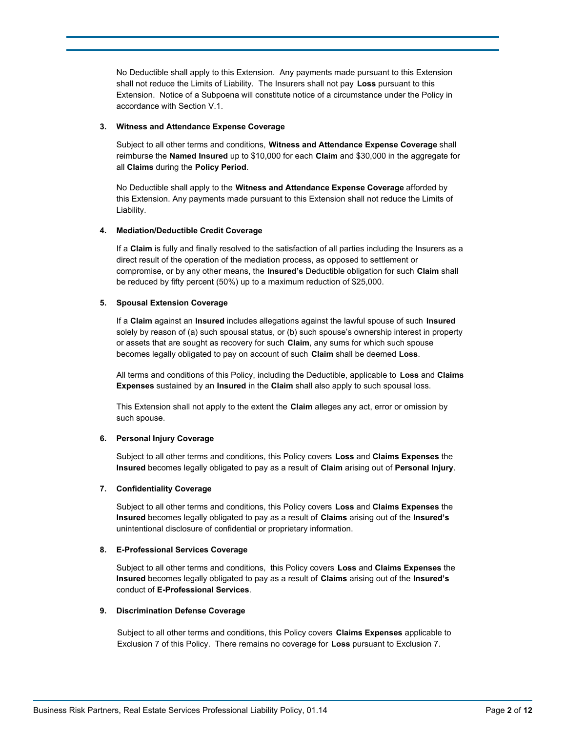No Deductible shall apply to this Extension. Any payments made pursuant to this Extension shall not reduce the Limits of Liability. The Insurers shall not pay **Loss** pursuant to this Extension. Notice of a Subpoena will constitute notice of a circumstance under the Policy in accordance with Section V.1.

#### **3. Witness and Attendance Expense Coverage**

Subject to all other terms and conditions, **Witness and Attendance Expense Coverage** shall reimburse the **Named Insured** up to \$10,000 for each **Claim** and \$30,000 in the aggregate for all **Claims** during the **Policy Period**.

No Deductible shall apply to the **Witness and Attendance Expense Coverage** afforded by this Extension. Any payments made pursuant to this Extension shall not reduce the Limits of Liability.

### **4. Mediation/Deductible Credit Coverage**

If a **Claim** is fully and finally resolved to the satisfaction of all parties including the Insurers as a direct result of the operation of the mediation process, as opposed to settlement or compromise, or by any other means, the **Insured's** Deductible obligation for such **Claim** shall be reduced by fifty percent (50%) up to a maximum reduction of \$25,000.

#### **5. Spousal Extension Coverage**

If a **Claim** against an **Insured** includes allegations against the lawful spouse of such **Insured** solely by reason of (a) such spousal status, or (b) such spouse's ownership interest in property or assets that are sought as recovery for such **Claim**, any sums for which such spouse becomes legally obligated to pay on account of such **Claim** shall be deemed **Loss**.

All terms and conditions of this Policy, including the Deductible, applicable to **Loss** and **Claims Expenses** sustained by an **Insured** in the **Claim** shall also apply to such spousal loss.

This Extension shall not apply to the extent the **Claim** alleges any act, error or omission by such spouse.

### **6. Personal Injury Coverage**

Subject to all other terms and conditions, this Policy covers **Loss** and **Claims Expenses** the **Insured** becomes legally obligated to pay as a result of **Claim** arising out of **Personal Injury**.

#### **7. Confidentiality Coverage**

Subject to all other terms and conditions, this Policy covers **Loss** and **Claims Expenses** the **Insured** becomes legally obligated to pay as a result of **Claims** arising out of the **Insured's** unintentional disclosure of confidential or proprietary information.

#### **8. E-Professional Services Coverage**

Subject to all other terms and conditions, this Policy covers **Loss** and **Claims Expenses** the **Insured** becomes legally obligated to pay as a result of **Claims** arising out of the **Insured's** conduct of **E-Professional Services**.

### **9. Discrimination Defense Coverage**

Subject to all other terms and conditions, this Policy covers **Claims Expenses** applicable to Exclusion 7 of this Policy. There remains no coverage for **Loss** pursuant to Exclusion 7.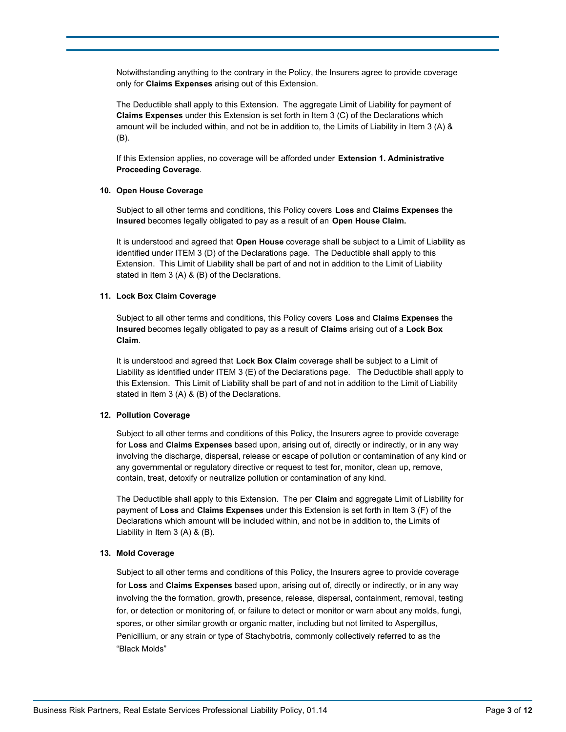Notwithstanding anything to the contrary in the Policy, the Insurers agree to provide coverage only for **Claims Expenses** arising out of this Extension.

The Deductible shall apply to this Extension. The aggregate Limit of Liability for payment of **Claims Expenses** under this Extension is set forth in Item 3 (C) of the Declarations which amount will be included within, and not be in addition to, the Limits of Liability in Item 3 (A) & (B).

If this Extension applies, no coverage will be afforded under **Extension 1. Administrative Proceeding Coverage**.

### **10. Open House Coverage**

Subject to all other terms and conditions, this Policy covers **Loss** and **Claims Expenses** the **Insured** becomes legally obligated to pay as a result of an **Open House Claim.**

It is understood and agreed that **Open House** coverage shall be subject to a Limit of Liability as identified under ITEM 3 (D) of the Declarations page. The Deductible shall apply to this Extension. This Limit of Liability shall be part of and not in addition to the Limit of Liability stated in Item 3 (A) & (B) of the Declarations.

#### **11. Lock Box Claim Coverage**

Subject to all other terms and conditions, this Policy covers **Loss** and **Claims Expenses** the **Insured** becomes legally obligated to pay as a result of **Claims** arising out of a **Lock Box Claim**.

It is understood and agreed that **Lock Box Claim** coverage shall be subject to a Limit of Liability as identified under ITEM 3 (E) of the Declarations page. The Deductible shall apply to this Extension. This Limit of Liability shall be part of and not in addition to the Limit of Liability stated in Item 3 (A) & (B) of the Declarations.

### **12. Pollution Coverage**

Subject to all other terms and conditions of this Policy, the Insurers agree to provide coverage for **Loss** and **Claims Expenses** based upon, arising out of, directly or indirectly, or in any way involving the discharge, dispersal, release or escape of pollution or contamination of any kind or any governmental or regulatory directive or request to test for, monitor, clean up, remove, contain, treat, detoxify or neutralize pollution or contamination of any kind.

The Deductible shall apply to this Extension. The per **Claim** and aggregate Limit of Liability for payment of **Loss** and **Claims Expenses** under this Extension is set forth in Item 3 (F) of the Declarations which amount will be included within, and not be in addition to, the Limits of Liability in Item 3 (A) & (B).

### **13. Mold Coverage**

Subject to all other terms and conditions of this Policy, the Insurers agree to provide coverage for **Loss** and **Claims Expenses** based upon, arising out of, directly or indirectly, or in any way involving the the formation, growth, presence, release, dispersal, containment, removal, testing for, or detection or monitoring of, or failure to detect or monitor or warn about any molds, fungi, spores, or other similar growth or organic matter, including but not limited to Aspergillus, Penicillium, or any strain or type of Stachybotris, commonly collectively referred to as the "Black Molds"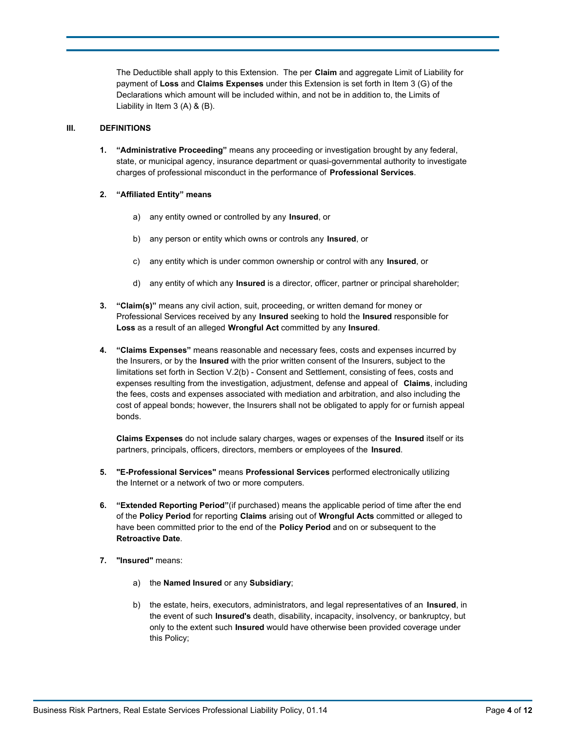The Deductible shall apply to this Extension. The per **Claim** and aggregate Limit of Liability for payment of **Loss** and **Claims Expenses** under this Extension is set forth in Item 3 (G) of the Declarations which amount will be included within, and not be in addition to, the Limits of Liability in Item 3 (A) & (B).

# **III. DEFINITIONS**

**1. "Administrative Proceeding"** means any proceeding or investigation brought by any federal, state, or municipal agency, insurance department or quasi-governmental authority to investigate charges of professional misconduct in the performance of **Professional Services**.

## **2. "Affiliated Entity" means**

- a) any entity owned or controlled by any **Insured**, or
- b) any person or entity which owns or controls any **Insured**, or
- c) any entity which is under common ownership or control with any **Insured**, or
- d) any entity of which any **Insured** is a director, officer, partner or principal shareholder;
- **3. "Claim(s)"** means any civil action, suit, proceeding, or written demand for money or Professional Services received by any **Insured** seeking to hold the **Insured** responsible for **Loss** as a result of an alleged **Wrongful Act** committed by any **Insured**.
- **4. "Claims Expenses"** means reasonable and necessary fees, costs and expenses incurred by the Insurers, or by the **Insured** with the prior written consent of the Insurers, subject to the limitations set forth in Section V.2(b) - Consent and Settlement, consisting of fees, costs and expenses resulting from the investigation, adjustment, defense and appeal of **Claims**, including the fees, costs and expenses associated with mediation and arbitration, and also including the cost of appeal bonds; however, the Insurers shall not be obligated to apply for or furnish appeal bonds.

**Claims Expenses** do not include salary charges, wages or expenses of the **Insured** itself or its partners, principals, officers, directors, members or employees of the **Insured**.

- **5. "E-Professional Services"** means **Professional Services** performed electronically utilizing the Internet or a network of two or more computers.
- **6. "Extended Reporting Period"**(if purchased) means the applicable period of time after the end of the **Policy Period** for reporting **Claims** arising out of **Wrongful Acts** committed or alleged to have been committed prior to the end of the **Policy Period** and on or subsequent to the **Retroactive Date**.
- **7. "Insured"** means:
	- a) the **Named Insured** or any **Subsidiary**;
	- b) the estate, heirs, executors, administrators, and legal representatives of an **Insured**, in the event of such **Insured's** death, disability, incapacity, insolvency, or bankruptcy, but only to the extent such **Insured** would have otherwise been provided coverage under this Policy;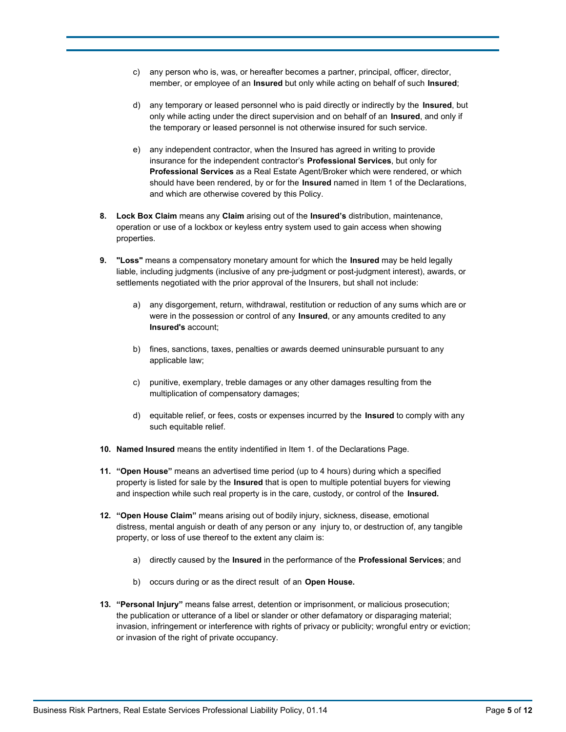- c) any person who is, was, or hereafter becomes a partner, principal, officer, director, member, or employee of an **Insured** but only while acting on behalf of such **Insured**;
- d) any temporary or leased personnel who is paid directly or indirectly by the **Insured**, but only while acting under the direct supervision and on behalf of an **Insured**, and only if the temporary or leased personnel is not otherwise insured for such service.
- e) any independent contractor, when the Insured has agreed in writing to provide insurance for the independent contractor's **Professional Services**, but only for **Professional Services** as a Real Estate Agent/Broker which were rendered, or which should have been rendered, by or for the **Insured** named in Item 1 of the Declarations, and which are otherwise covered by this Policy.
- **8. Lock Box Claim** means any **Claim** arising out of the **Insured's** distribution, maintenance, operation or use of a lockbox or keyless entry system used to gain access when showing properties.
- **9. "Loss"** means a compensatory monetary amount for which the **Insured** may be held legally liable, including judgments (inclusive of any pre-judgment or post-judgment interest), awards, or settlements negotiated with the prior approval of the Insurers, but shall not include:
	- a) any disgorgement, return, withdrawal, restitution or reduction of any sums which are or were in the possession or control of any **Insured**, or any amounts credited to any **Insured's** account;
	- b) fines, sanctions, taxes, penalties or awards deemed uninsurable pursuant to any applicable law;
	- c) punitive, exemplary, treble damages or any other damages resulting from the multiplication of compensatory damages;
	- d) equitable relief, or fees, costs or expenses incurred by the **Insured** to comply with any such equitable relief.
- **10. Named Insured** means the entity indentified in Item 1. of the Declarations Page.
- **11. "Open House"** means an advertised time period (up to 4 hours) during which a specified property is listed for sale by the **Insured** that is open to multiple potential buyers for viewing and inspection while such real property is in the care, custody, or control of the **Insured.**
- **12. "Open House Claim"** means arising out of bodily injury, sickness, disease, emotional distress, mental anguish or death of any person or any injury to, or destruction of, any tangible property, or loss of use thereof to the extent any claim is:
	- a) directly caused by the **Insured** in the performance of the **Professional Services**; and
	- b) occurs during or as the direct result of an **Open House.**
- **13. "Personal Injury"** means false arrest, detention or imprisonment, or malicious prosecution; the publication or utterance of a libel or slander or other defamatory or disparaging material; invasion, infringement or interference with rights of privacy or publicity; wrongful entry or eviction; or invasion of the right of private occupancy.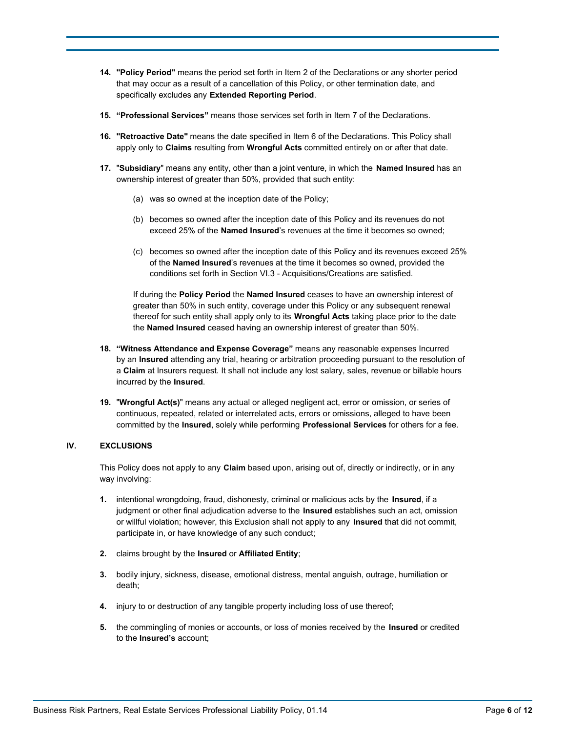- **14. "Policy Period"** means the period set forth in Item 2 of the Declarations or any shorter period that may occur as a result of a cancellation of this Policy, or other termination date, and specifically excludes any **Extended Reporting Period**.
- **15. "Professional Services"** means those services set forth in Item 7 of the Declarations.
- **16. "Retroactive Date"** means the date specified in Item 6 of the Declarations. This Policy shall apply only to **Claims** resulting from **Wrongful Acts** committed entirely on or after that date.
- **17.** "**Subsidiary**" means any entity, other than a joint venture, in which the **Named Insured** has an ownership interest of greater than 50%, provided that such entity:
	- (a) was so owned at the inception date of the Policy;
	- (b) becomes so owned after the inception date of this Policy and its revenues do not exceed 25% of the **Named Insured**'s revenues at the time it becomes so owned;
	- (c) becomes so owned after the inception date of this Policy and its revenues exceed 25% of the **Named Insured**'s revenues at the time it becomes so owned, provided the conditions set forth in Section VI.3 - Acquisitions/Creations are satisfied.

If during the **Policy Period** the **Named Insured** ceases to have an ownership interest of greater than 50% in such entity, coverage under this Policy or any subsequent renewal thereof for such entity shall apply only to its **Wrongful Acts** taking place prior to the date the **Named Insured** ceased having an ownership interest of greater than 50%.

- **18. "Witness Attendance and Expense Coverage"** means any reasonable expenses Incurred by an **Insured** attending any trial, hearing or arbitration proceeding pursuant to the resolution of a **Claim** at Insurers request. It shall not include any lost salary, sales, revenue or billable hours incurred by the **Insured**.
- **19.** "**Wrongful Act(s)**" means any actual or alleged negligent act, error or omission, or series of continuous, repeated, related or interrelated acts, errors or omissions, alleged to have been committed by the **Insured**, solely while performing **Professional Services** for others for a fee.

# **IV. EXCLUSIONS**

This Policy does not apply to any **Claim** based upon, arising out of, directly or indirectly, or in any way involving:

- **1.** intentional wrongdoing, fraud, dishonesty, criminal or malicious acts by the **Insured**, if a judgment or other final adjudication adverse to the **Insured** establishes such an act, omission or willful violation; however, this Exclusion shall not apply to any **Insured** that did not commit, participate in, or have knowledge of any such conduct;
- **2.** claims brought by the **Insured** or **Affiliated Entity**;
- **3.** bodily injury, sickness, disease, emotional distress, mental anguish, outrage, humiliation or death;
- **4.** injury to or destruction of any tangible property including loss of use thereof;
- **5.** the commingling of monies or accounts, or loss of monies received by the **Insured** or credited to the **Insured's** account;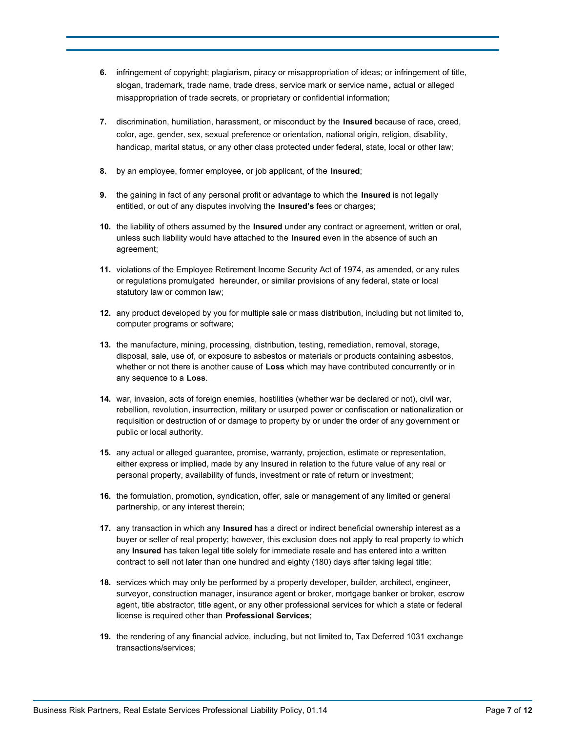- **6.** infringement of copyright; plagiarism, piracy or misappropriation of ideas; or infringement of title, slogan, trademark, trade name, trade dress, service mark or service name **,** actual or alleged misappropriation of trade secrets, or proprietary or confidential information;
- **7.** discrimination, humiliation, harassment, or misconduct by the **Insured** because of race, creed, color, age, gender, sex, sexual preference or orientation, national origin, religion, disability, handicap, marital status, or any other class protected under federal, state, local or other law;
- **8.** by an employee, former employee, or job applicant, of the **Insured**;
- **9.** the gaining in fact of any personal profit or advantage to which the **Insured** is not legally entitled, or out of any disputes involving the **Insured's** fees or charges;
- **10.** the liability of others assumed by the **Insured** under any contract or agreement, written or oral, unless such liability would have attached to the **Insured** even in the absence of such an agreement;
- **11.** violations of the Employee Retirement Income Security Act of 1974, as amended, or any rules or regulations promulgated hereunder, or similar provisions of any federal, state or local statutory law or common law;
- **12.** any product developed by you for multiple sale or mass distribution, including but not limited to, computer programs or software;
- **13.** the manufacture, mining, processing, distribution, testing, remediation, removal, storage, disposal, sale, use of, or exposure to asbestos or materials or products containing asbestos, whether or not there is another cause of **Loss** which may have contributed concurrently or in any sequence to a **Loss**.
- **14.** war, invasion, acts of foreign enemies, hostilities (whether war be declared or not), civil war, rebellion, revolution, insurrection, military or usurped power or confiscation or nationalization or requisition or destruction of or damage to property by or under the order of any government or public or local authority.
- **15.** any actual or alleged guarantee, promise, warranty, projection, estimate or representation, either express or implied, made by any Insured in relation to the future value of any real or personal property, availability of funds, investment or rate of return or investment;
- **16.** the formulation, promotion, syndication, offer, sale or management of any limited or general partnership, or any interest therein;
- **17.** any transaction in which any **Insured** has a direct or indirect beneficial ownership interest as a buyer or seller of real property; however, this exclusion does not apply to real property to which any **Insured** has taken legal title solely for immediate resale and has entered into a written contract to sell not later than one hundred and eighty (180) days after taking legal title;
- **18.** services which may only be performed by a property developer, builder, architect, engineer, surveyor, construction manager, insurance agent or broker, mortgage banker or broker, escrow agent, title abstractor, title agent, or any other professional services for which a state or federal license is required other than **Professional Services**;
- **19.** the rendering of any financial advice, including, but not limited to, Tax Deferred 1031 exchange transactions/services;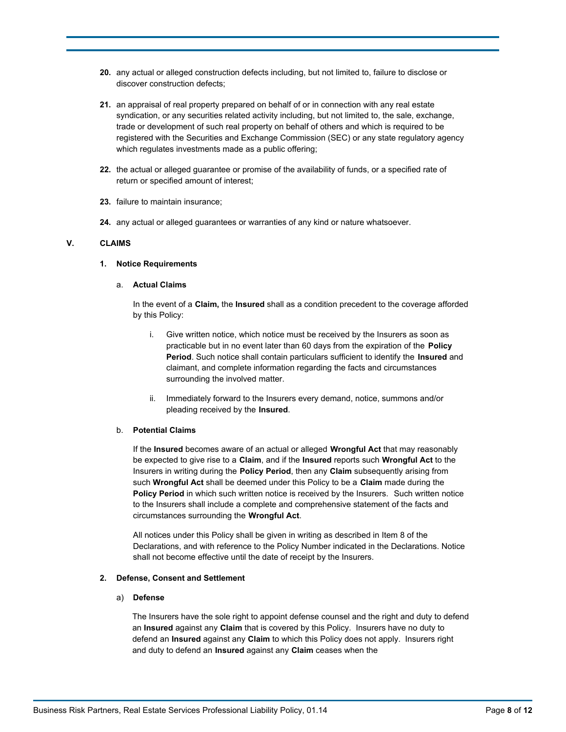- **20.** any actual or alleged construction defects including, but not limited to, failure to disclose or discover construction defects;
- **21.** an appraisal of real property prepared on behalf of or in connection with any real estate syndication, or any securities related activity including, but not limited to, the sale, exchange, trade or development of such real property on behalf of others and which is required to be registered with the Securities and Exchange Commission (SEC) or any state regulatory agency which regulates investments made as a public offering;
- **22.** the actual or alleged guarantee or promise of the availability of funds, or a specified rate of return or specified amount of interest;
- **23.** failure to maintain insurance;
- **24.** any actual or alleged guarantees or warranties of any kind or nature whatsoever.

### **V. CLAIMS**

## **1. Notice Requirements**

### a. **Actual Claims**

In the event of a **Claim,** the **Insured** shall as a condition precedent to the coverage afforded by this Policy:

- i. Give written notice, which notice must be received by the Insurers as soon as practicable but in no event later than 60 days from the expiration of the **Policy Period**. Such notice shall contain particulars sufficient to identify the **Insured** and claimant, and complete information regarding the facts and circumstances surrounding the involved matter.
- ii. Immediately forward to the Insurers every demand, notice, summons and/or pleading received by the **Insured**.

### b. **Potential Claims**

If the **Insured** becomes aware of an actual or alleged **Wrongful Act** that may reasonably be expected to give rise to a **Claim**, and if the **Insured** reports such **Wrongful Act** to the Insurers in writing during the **Policy Period**, then any **Claim** subsequently arising from such **Wrongful Act** shall be deemed under this Policy to be a **Claim** made during the **Policy Period** in which such written notice is received by the Insurers.Such written notice to the Insurers shall include a complete and comprehensive statement of the facts and circumstances surrounding the **Wrongful Act**.

All notices under this Policy shall be given in writing as described in Item 8 of the Declarations, and with reference to the Policy Number indicated in the Declarations. Notice shall not become effective until the date of receipt by the Insurers.

# **2. Defense, Consent and Settlement**

### a) **Defense**

The Insurers have the sole right to appoint defense counsel and the right and duty to defend an **Insured** against any **Claim** that is covered by this Policy. Insurers have no duty to defend an **Insured** against any **Claim** to which this Policy does not apply. Insurers right and duty to defend an **Insured** against any **Claim** ceases when the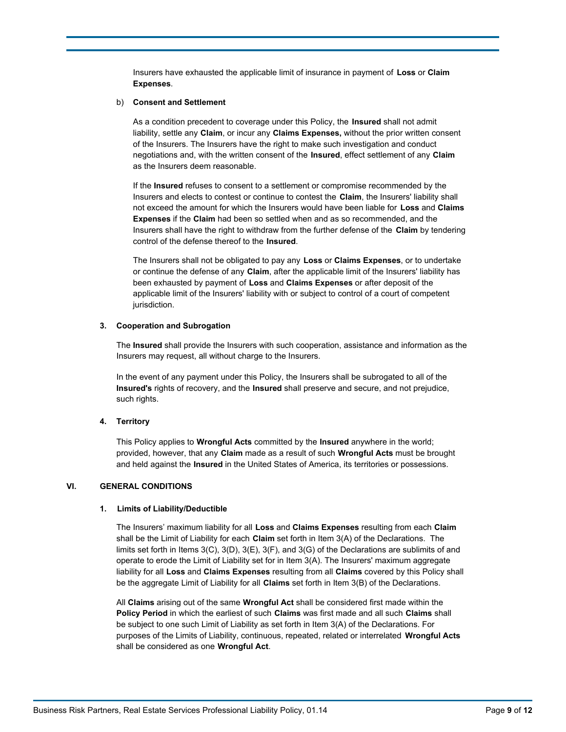Insurers have exhausted the applicable limit of insurance in payment of **Loss** or **Claim Expenses**.

#### b) **Consent and Settlement**

As a condition precedent to coverage under this Policy, the **Insured** shall not admit liability, settle any **Claim**, or incur any **Claims Expenses,** without the prior written consent of the Insurers. The Insurers have the right to make such investigation and conduct negotiations and, with the written consent of the **Insured**, effect settlement of any **Claim**  as the Insurers deem reasonable.

If the **Insured** refuses to consent to a settlement or compromise recommended by the Insurers and elects to contest or continue to contest the **Claim**, the Insurers' liability shall not exceed the amount for which the Insurers would have been liable for **Loss** and **Claims Expenses** if the **Claim** had been so settled when and as so recommended, and the Insurers shall have the right to withdraw from the further defense of the **Claim** by tendering control of the defense thereof to the **Insured**.

The Insurers shall not be obligated to pay any **Loss** or **Claims Expenses**, or to undertake or continue the defense of any **Claim**, after the applicable limit of the Insurers' liability has been exhausted by payment of **Loss** and **Claims Expenses** or after deposit of the applicable limit of the Insurers' liability with or subject to control of a court of competent jurisdiction.

### **3. Cooperation and Subrogation**

The **Insured** shall provide the Insurers with such cooperation, assistance and information as the Insurers may request, all without charge to the Insurers.

In the event of any payment under this Policy, the Insurers shall be subrogated to all of the **Insured's** rights of recovery, and the **Insured** shall preserve and secure, and not prejudice, such rights.

### **4. Territory**

This Policy applies to **Wrongful Acts** committed by the **Insured** anywhere in the world; provided, however, that any **Claim** made as a result of such **Wrongful Acts** must be brought and held against the **Insured** in the United States of America, its territories or possessions.

### **VI. GENERAL CONDITIONS**

### **1. Limits of Liability/Deductible**

The Insurers' maximum liability for all **Loss** and **Claims Expenses** resulting from each **Claim**  shall be the Limit of Liability for each **Claim** set forth in Item 3(A) of the Declarations. The limits set forth in Items 3(C), 3(D), 3(E), 3(F), and 3(G) of the Declarations are sublimits of and operate to erode the Limit of Liability set for in Item 3(A). The Insurers' maximum aggregate liability for all **Loss** and **Claims Expenses** resulting from all **Claims** covered by this Policy shall be the aggregate Limit of Liability for all **Claims** set forth in Item 3(B) of the Declarations.

All **Claims** arising out of the same **Wrongful Act** shall be considered first made within the **Policy Period** in which the earliest of such **Claims** was first made and all such **Claims** shall be subject to one such Limit of Liability as set forth in Item 3(A) of the Declarations. For purposes of the Limits of Liability, continuous, repeated, related or interrelated **Wrongful Acts**  shall be considered as one **Wrongful Act**.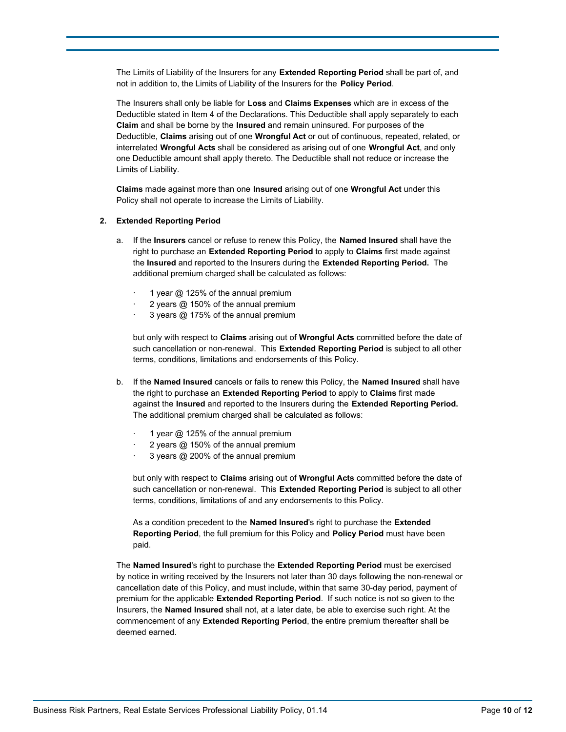The Limits of Liability of the Insurers for any **Extended Reporting Period** shall be part of, and not in addition to, the Limits of Liability of the Insurers for the **Policy Period**.

The Insurers shall only be liable for **Loss** and **Claims Expenses** which are in excess of the Deductible stated in Item 4 of the Declarations. This Deductible shall apply separately to each **Claim** and shall be borne by the **Insured** and remain uninsured. For purposes of the Deductible, **Claims** arising out of one **Wrongful Act** or out of continuous, repeated, related, or interrelated **Wrongful Acts** shall be considered as arising out of one **Wrongful Act**, and only one Deductible amount shall apply thereto. The Deductible shall not reduce or increase the Limits of Liability.

**Claims** made against more than one **Insured** arising out of one **Wrongful Act** under this Policy shall not operate to increase the Limits of Liability.

#### **2. Extended Reporting Period**

- a. If the **Insurers** cancel or refuse to renew this Policy, the **Named Insured** shall have the right to purchase an **Extended Reporting Period** to apply to **Claims** first made against the **Insured** and reported to the Insurers during the **Extended Reporting Period.** The additional premium charged shall be calculated as follows:
	- 1 year  $@$  125% of the annual premium
	- 2 years @ 150% of the annual premium
	- 3 years @ 175% of the annual premium

but only with respect to **Claims** arising out of **Wrongful Acts** committed before the date of such cancellation or non-renewal. This **Extended Reporting Period** is subject to all other terms, conditions, limitations and endorsements of this Policy.

- b. If the **Named Insured** cancels or fails to renew this Policy, the **Named Insured** shall have the right to purchase an **Extended Reporting Period** to apply to **Claims** first made against the **Insured** and reported to the Insurers during the **Extended Reporting Period.**  The additional premium charged shall be calculated as follows:
	- 1 year  $@$  125% of the annual premium
	- 2 years @ 150% of the annual premium
	- 3 years @ 200% of the annual premium

but only with respect to **Claims** arising out of **Wrongful Acts** committed before the date of such cancellation or non-renewal. This **Extended Reporting Period** is subject to all other terms, conditions, limitations of and any endorsements to this Policy.

As a condition precedent to the **Named Insured**'s right to purchase the **Extended Reporting Period**, the full premium for this Policy and **Policy Period** must have been paid.

The **Named Insured**'s right to purchase the **Extended Reporting Period** must be exercised by notice in writing received by the Insurers not later than 30 days following the non-renewal or cancellation date of this Policy, and must include, within that same 30-day period, payment of premium for the applicable **Extended Reporting Period**. If such notice is not so given to the Insurers, the **Named Insured** shall not, at a later date, be able to exercise such right. At the commencement of any **Extended Reporting Period**, the entire premium thereafter shall be deemed earned.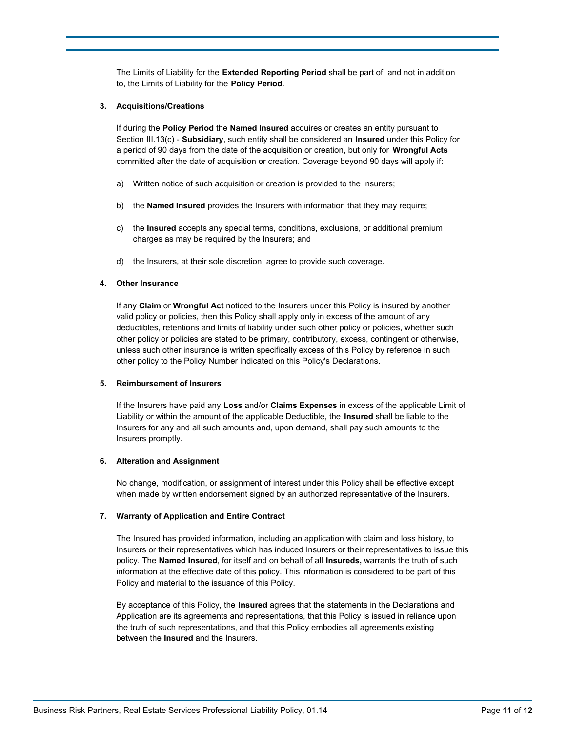The Limits of Liability for the **Extended Reporting Period** shall be part of, and not in addition to, the Limits of Liability for the **Policy Period**.

#### **3. Acquisitions/Creations**

If during the **Policy Period** the **Named Insured** acquires or creates an entity pursuant to Section III.13(c) - **Subsidiary**, such entity shall be considered an **Insured** under this Policy for a period of 90 days from the date of the acquisition or creation, but only for **Wrongful Acts**  committed after the date of acquisition or creation. Coverage beyond 90 days will apply if:

- a) Written notice of such acquisition or creation is provided to the Insurers;
- b) the **Named Insured** provides the Insurers with information that they may require;
- c) the **Insured** accepts any special terms, conditions, exclusions, or additional premium charges as may be required by the Insurers; and
- d) the Insurers, at their sole discretion, agree to provide such coverage.

### **4. Other Insurance**

If any **Claim** or **Wrongful Act** noticed to the Insurers under this Policy is insured by another valid policy or policies, then this Policy shall apply only in excess of the amount of any deductibles, retentions and limits of liability under such other policy or policies, whether such other policy or policies are stated to be primary, contributory, excess, contingent or otherwise, unless such other insurance is written specifically excess of this Policy by reference in such other policy to the Policy Number indicated on this Policy's Declarations.

#### **5. Reimbursement of Insurers**

If the Insurers have paid any **Loss** and/or **Claims Expenses** in excess of the applicable Limit of Liability or within the amount of the applicable Deductible, the **Insured** shall be liable to the Insurers for any and all such amounts and, upon demand, shall pay such amounts to the Insurers promptly.

### **6. Alteration and Assignment**

No change, modification, or assignment of interest under this Policy shall be effective except when made by written endorsement signed by an authorized representative of the Insurers.

### **7. Warranty of Application and Entire Contract**

The Insured has provided information, including an application with claim and loss history, to Insurers or their representatives which has induced Insurers or their representatives to issue this policy. The **Named Insured**, for itself and on behalf of all **Insureds,** warrants the truth of such information at the effective date of this policy. This information is considered to be part of this Policy and material to the issuance of this Policy.

By acceptance of this Policy, the **Insured** agrees that the statements in the Declarations and Application are its agreements and representations, that this Policy is issued in reliance upon the truth of such representations, and that this Policy embodies all agreements existing between the **Insured** and the Insurers.